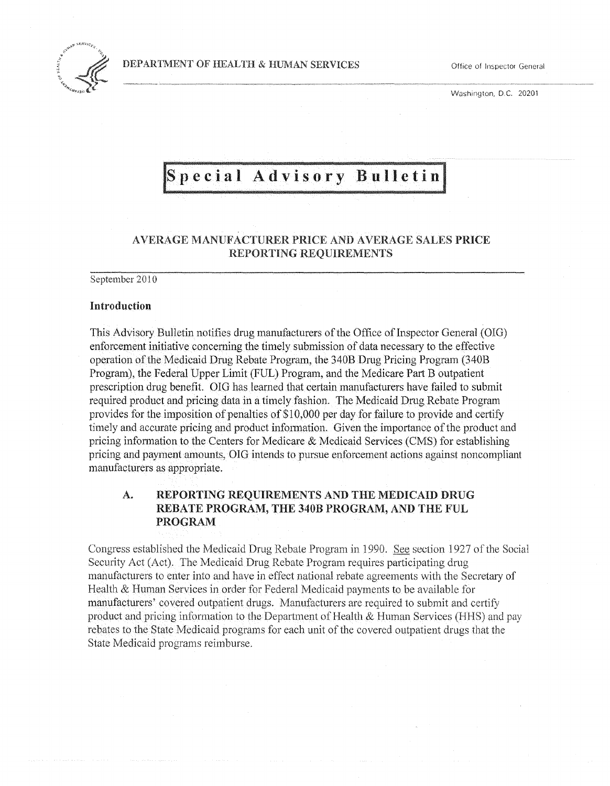---.~---.~



Washington, D.C. 20201

# Special Advisory Bulletin

# AVERAGE MANUFACTURER PRICE AND AVERAGE SALES PRICE REPORTING REQUIREMENTS

September 2010

## Introduction

This Advisory Bulletin notifies drug manufacturers of the Office of Inspector General (OIG) enforcement initiative concerning the timely submission of data necessary to the effective operation of the Medicaid Drug Rebate Program, the 340B Drug Pricing Program (340B Program), the Federal Upper Limit (FUL) Program, and the Medicare Part B outpatient prescription drug benefit. OIG has learned that certain manufacturers have failed to submit required product and pricing data in a timely fashion. The Medicaid Drug Rebate Program provides for the imposition of penalties of \$10,000 per day for failure to provide and certify timely and accurate pricing and product information. Given the importance of the product and pricing information to the Centers for Medicare & Medicaid Services (CMS) for establishing pricing and payment amounts, OIG intends to pursue enforcement actions against noncompliant manufacturers as appropriate.

# A. REPORTING REQUIREMENTS AND THE MEDICAID DRUG REBATE PROGRAM, THE 340B PROGRAM, AND THE FUL PROGRAM

Congress established the Medicaid Drug Rebate Program in 1990. See section 1927 of the Social Security Act (Act). The Medicaid Drug Rebate Program requires participating drug manufacturers to enter into and have in effect national rebate agreements with the Secretary of Health & Human Services in order for Federal Medicaid payments to be available for manufacturers' covered outpatient drugs. Manufacturers are required to submit and certify product and pricing information to the Department of Health  $\&$  Human Services (HHS) and pay rebates to the State Medicaid programs for each unit of the covered outpatient drugs that the State Medicaid programs reimburse.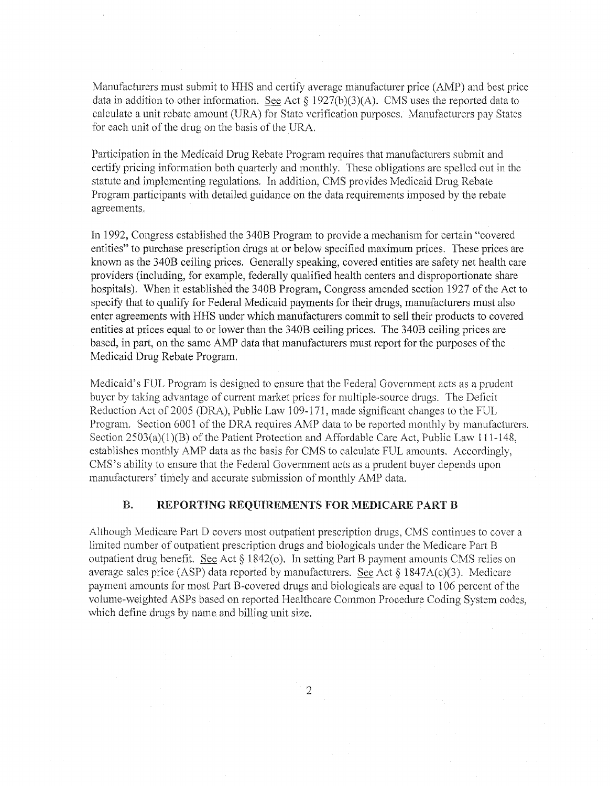Manufacturers must submit to HHS and certify average manufacturer price (AMP) and best price data in addition to other information. See Act  $\S 1927(b)(3)(A)$ . CMS uses the reported data to calculate a unit rebate amount CORA) for State verification purposes. Manufacturers pay States for each unit of the drug on the basis of the URA

Participation in the Medicaid Drug Rebate Program requires that manufacturers submit and certify pricing information both quarterly and monthly. These obligations are spelled out in the statute and implementing regulations. In addition, CMS provides Medicaid Drug Rebate Program participants with detailed guidance on the data requirements imposed by the rebate agreements.

In 1992, Congress established the 340B Program to provide a mechanism for certain "covered entities" to purchase prescription drugs at or below specified maximum prices. These prices are known as the 340B ceiling prices. Generally speaking, covered entities are safety net health care providers (including, for example, federally qualified health centers and disproportionate share hospitals). When it established the 340B Program, Congress amended section 1927 of the Act to specify that to qualify for Federal Medicaid payments for their drugs, manufacturers must also enter agreements with HHS under which manufacturers commit to sell their products to covered entities at prices equal to or lower than the 340B ceiling prices. The 340B ceiling prices are based, in part, on the same AMP data that manufacturers must report for the purposes of the Medicaid Drug Rebate Program.

Medicaid's FUL Program is designed to ensure that the Federal Government acts as a prudent buyer by taking advantage of current market prices for multiple-source drugs. The Deficit Reduction Act of 2005 (DRA), Public Law 109-171, made significant changes to the FUL Program. Section 6001 of the DRA requires AMP data to be reported monthly by manufacturers. Section 2503(a)(1)(B) of the Patient Protection and Affordable Care Act, Public Law 111-148, establishes monthly AMP data as the basis for CMS to calculate FUL amounts. Accordingly, CMS's ability to ensure that the Federal Government acts as a prudent buyer depends upon manufacturers' timely and accurate submission of monthly AMP data.

## B. REPORTING REQUIREMENTS FOR MEDICARE PART B

Although Medicare Part D covers most outpatient prescription drugs, CMS continues to cover a limited number of outpatient prescription drugs and biologicals under the Medicare Part B outpatient drug benefit. See Act § 1842(0). In setting Part B payment amounts CMS relies on average sales price (ASP) data reported by manufacturers. See Act  $\S$  1847A(c)(3). Medicare payment amounts for most Part B-covered drugs and biologicals are equal to 106 percent of the volume-weighted ASPs based on reported Healthcare Common Procedure Coding System codes, which define drugs by name and billing unit size.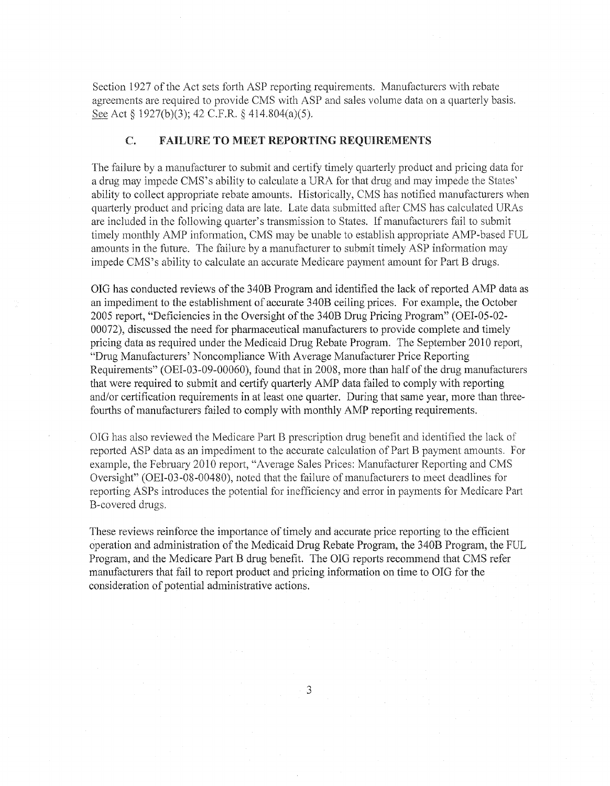Section 1927 of the Act sets forth ASP reporting requirements. Manufacturers with rebate agreements are required to provide CMS with ASP and sales volume data on a quarterly basis. See Act § 1927(b)(3); 42 C.F.R. § 414.804(a)(5).

### C. FAILURE TO MEET REPORTING REQUIREMENTS

The failure by a manufacturer to submit and certify timely quarterly product and pricing data for a drug may impede CMS's ability to calculate a URA for that drug and may impede the States' ability to collect appropriate rebate amounts. Historically, CMS has notified manufacturers when quarterly product and pricing data are late. Late data submitted after CMS has calculated DRAs are included in the following quarter's transmission to States. If manufacturers fail to submit timely monthly AMP information, CMS may be unable to establish appropriate AMP-based FUL amounts in the future. The failure by a manufacturer to submit timely ASP information may impede CMS's ability to calculate an accurate Medicare payment amount for Part B drugs.

OIG has conducted reviews ofthe 340B Program and identified the lack of reported AMP data as an impediment to the establishment of accurate 340B ceiling prices. For example, the October 2005 report, "Deficiencies in the Oversight of the 340B Drug Pricing Program" (OEI-05-02-00072), discussed the need for pharmaceutical manufacturers to provide complete and timely pricing data as required under the Medicaid Drug Rebate Program. The September 2010 report, "Drug Manufacturers' Noncompliance With Average Manufacturer Price Reporting Requirements" (OEI-03-09-00060), found that in 2008, more than half of the drug manufacturers that were required to submit and certify quarterly AMP data failed to comply with reporting and/or certification requirements in at least one quarter. During that same year, more than threefourths of manufacturers failed to comply with monthly AMP reporting requirements.

OIG has also reviewed the Medicare Part B prescription drug benefit and identified the lack of reported ASP data as an impediment to the accurate calculation of Part B payment amounts. For example, the February 2010 report, "Average Sales Prices: Manufacturer Reporting and CMS Oversight" (OEI-03-08-00480), noted that the failure of manufacturers to meet deadlines for reporting ASPs introduces the potential for inefficiency and error in payments tor Medicare Part B-covered drugs.

These reviews reinforce the importance of timely and accurate price reporting to the efficient operation and administration of the Medicaid Drug Rebate Program, the 340B Program, the FUL Program, and the Medicare Part B drug benefit. The OIG reports recommend that CMS refer manufacturers that fail to report product and pricing infonnation on time to OIG for the consideration of potential administrative actions.

3